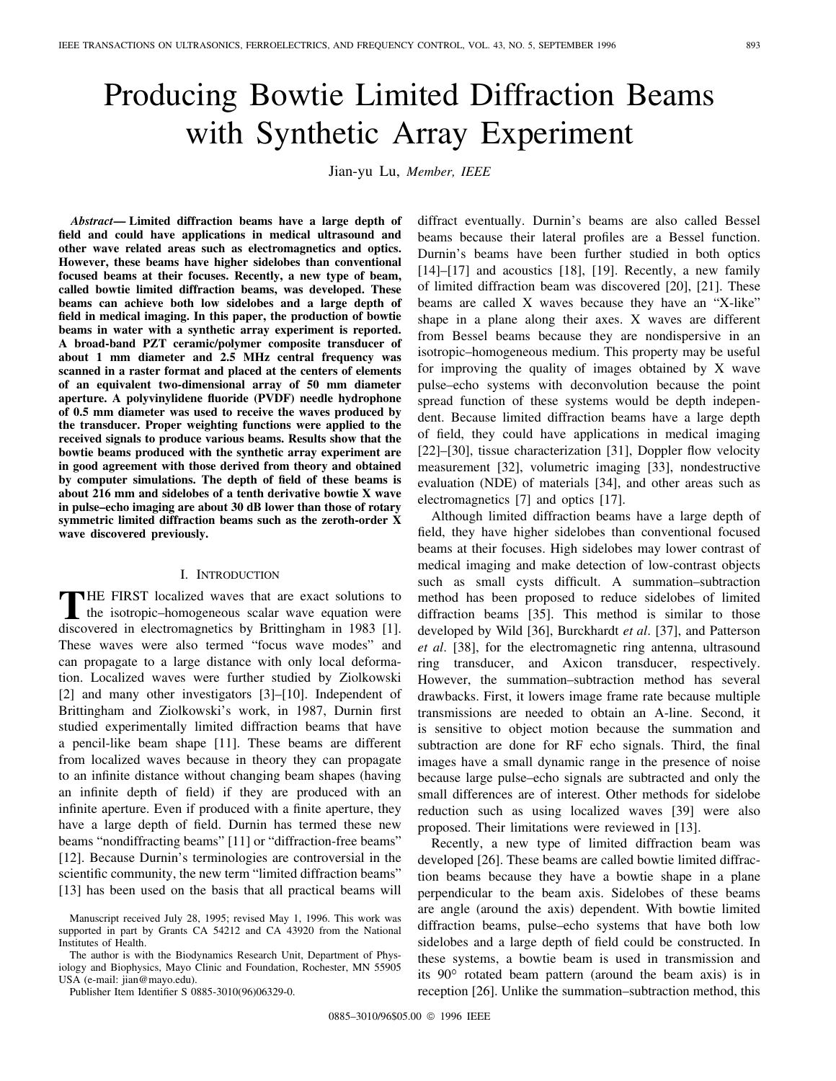# Producing Bowtie Limited Diffraction Beams with Synthetic Array Experiment

Jian-yu Lu, *Member, IEEE*

*Abstract—* **Limited diffraction beams have a large depth of field and could have applications in medical ultrasound and other wave related areas such as electromagnetics and optics. However, these beams have higher sidelobes than conventional focused beams at their focuses. Recently, a new type of beam, called bowtie limited diffraction beams, was developed. These beams can achieve both low sidelobes and a large depth of field in medical imaging. In this paper, the production of bowtie beams in water with a synthetic array experiment is reported. A broad-band PZT ceramic/polymer composite transducer of about 1 mm diameter and 2.5 MHz central frequency was scanned in a raster format and placed at the centers of elements of an equivalent two-dimensional array of 50 mm diameter aperture. A polyvinylidene fluoride (PVDF) needle hydrophone of 0.5 mm diameter was used to receive the waves produced by the transducer. Proper weighting functions were applied to the received signals to produce various beams. Results show that the bowtie beams produced with the synthetic array experiment are in good agreement with those derived from theory and obtained by computer simulations. The depth of field of these beams is about 216 mm and sidelobes of a tenth derivative bowtie X wave in pulse–echo imaging are about 30 dB lower than those of rotary symmetric limited diffraction beams such as the zeroth-order X wave discovered previously.**

## I. INTRODUCTION

**THE FIRST** localized waves that are exact solutions to the isotropic–homogeneous scalar wave equation were discovered in electromagnetics by Brittingham in 1983 [1]. These waves were also termed "focus wave modes" and can propagate to a large distance with only local deformation. Localized waves were further studied by Ziolkowski [2] and many other investigators [3]–[10]. Independent of Brittingham and Ziolkowski's work, in 1987, Durnin first studied experimentally limited diffraction beams that have a pencil-like beam shape [11]. These beams are different from localized waves because in theory they can propagate to an infinite distance without changing beam shapes (having an infinite depth of field) if they are produced with an infinite aperture. Even if produced with a finite aperture, they have a large depth of field. Durnin has termed these new beams "nondiffracting beams" [11] or "diffraction-free beams" [12]. Because Durnin's terminologies are controversial in the scientific community, the new term "limited diffraction beams" [13] has been used on the basis that all practical beams will

The author is with the Biodynamics Research Unit, Department of Physiology and Biophysics, Mayo Clinic and Foundation, Rochester, MN 55905 USA (e-mail: jian@mayo.edu).

Publisher Item Identifier S 0885-3010(96)06329-0.

diffract eventually. Durnin's beams are also called Bessel beams because their lateral profiles are a Bessel function. Durnin's beams have been further studied in both optics  $[14]$ – $[17]$  and acoustics  $[18]$ ,  $[19]$ . Recently, a new family of limited diffraction beam was discovered [20], [21]. These beams are called X waves because they have an "X-like" shape in a plane along their axes. X waves are different from Bessel beams because they are nondispersive in an isotropic–homogeneous medium. This property may be useful for improving the quality of images obtained by X wave pulse–echo systems with deconvolution because the point spread function of these systems would be depth independent. Because limited diffraction beams have a large depth of field, they could have applications in medical imaging [22]–[30], tissue characterization [31], Doppler flow velocity measurement [32], volumetric imaging [33], nondestructive evaluation (NDE) of materials [34], and other areas such as electromagnetics [7] and optics [17].

Although limited diffraction beams have a large depth of field, they have higher sidelobes than conventional focused beams at their focuses. High sidelobes may lower contrast of medical imaging and make detection of low-contrast objects such as small cysts difficult. A summation–subtraction method has been proposed to reduce sidelobes of limited diffraction beams [35]. This method is similar to those developed by Wild [36], Burckhardt *et al*. [37], and Patterson *et al*. [38], for the electromagnetic ring antenna, ultrasound ring transducer, and Axicon transducer, respectively. However, the summation–subtraction method has several drawbacks. First, it lowers image frame rate because multiple transmissions are needed to obtain an A-line. Second, it is sensitive to object motion because the summation and subtraction are done for RF echo signals. Third, the final images have a small dynamic range in the presence of noise because large pulse–echo signals are subtracted and only the small differences are of interest. Other methods for sidelobe reduction such as using localized waves [39] were also proposed. Their limitations were reviewed in [13].

Recently, a new type of limited diffraction beam was developed [26]. These beams are called bowtie limited diffraction beams because they have a bowtie shape in a plane perpendicular to the beam axis. Sidelobes of these beams are angle (around the axis) dependent. With bowtie limited diffraction beams, pulse–echo systems that have both low sidelobes and a large depth of field could be constructed. In these systems, a bowtie beam is used in transmission and its  $90^{\circ}$  rotated beam pattern (around the beam axis) is in reception [26]. Unlike the summation–subtraction method, this

Manuscript received July 28, 1995; revised May 1, 1996. This work was supported in part by Grants CA 54212 and CA 43920 from the National Institutes of Health.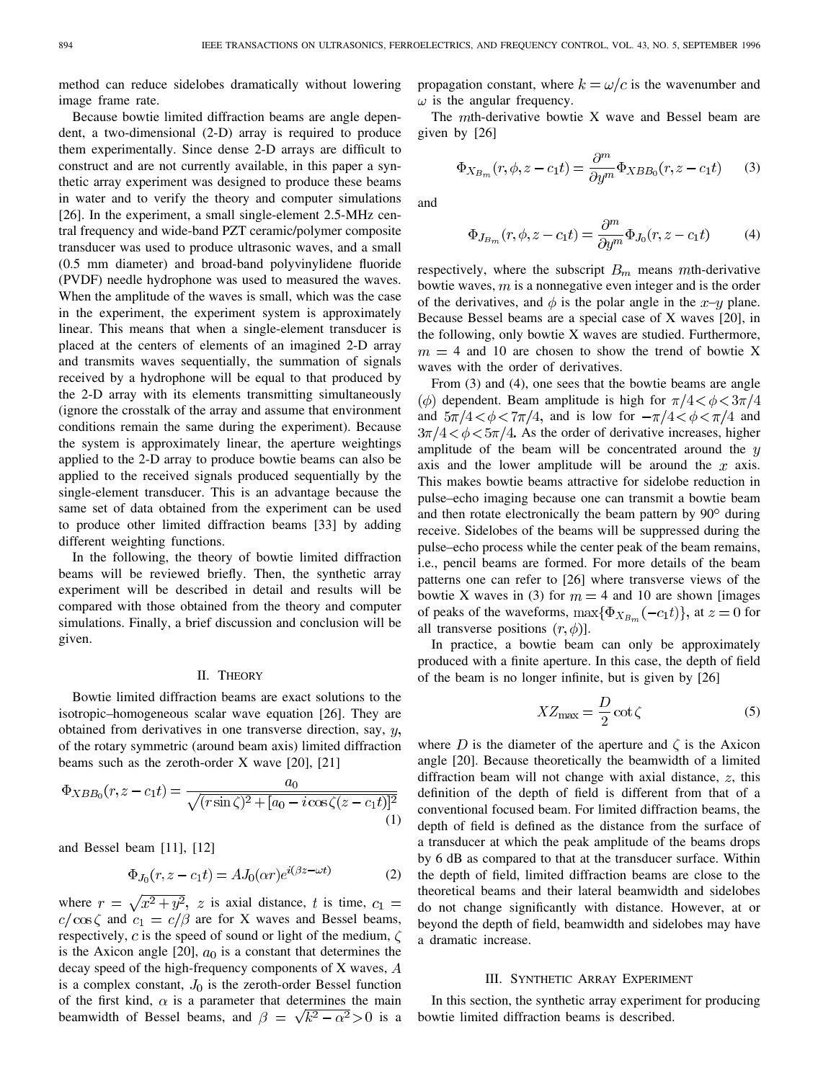method can reduce sidelobes dramatically without lowering image frame rate.

Because bowtie limited diffraction beams are angle dependent, a two-dimensional (2-D) array is required to produce them experimentally. Since dense 2-D arrays are difficult to construct and are not currently available, in this paper a synthetic array experiment was designed to produce these beams in water and to verify the theory and computer simulations [26]. In the experiment, a small single-element 2.5-MHz central frequency and wide-band PZT ceramic/polymer composite transducer was used to produce ultrasonic waves, and a small (0.5 mm diameter) and broad-band polyvinylidene fluoride (PVDF) needle hydrophone was used to measured the waves. When the amplitude of the waves is small, which was the case in the experiment, the experiment system is approximately linear. This means that when a single-element transducer is placed at the centers of elements of an imagined 2-D array and transmits waves sequentially, the summation of signals received by a hydrophone will be equal to that produced by the 2-D array with its elements transmitting simultaneously (ignore the crosstalk of the array and assume that environment conditions remain the same during the experiment). Because the system is approximately linear, the aperture weightings applied to the 2-D array to produce bowtie beams can also be applied to the received signals produced sequentially by the single-element transducer. This is an advantage because the same set of data obtained from the experiment can be used to produce other limited diffraction beams [33] by adding different weighting functions.

In the following, the theory of bowtie limited diffraction beams will be reviewed briefly. Then, the synthetic array experiment will be described in detail and results will be compared with those obtained from the theory and computer simulations. Finally, a brief discussion and conclusion will be given.

# II. THEORY

Bowtie limited diffraction beams are exact solutions to the isotropic–homogeneous scalar wave equation [26]. They are obtained from derivatives in one transverse direction, say,  $y$ , of the rotary symmetric (around beam axis) limited diffraction beams such as the zeroth-order X wave [20], [21]

$$
\Phi_{XBB_0}(r, z - c_1 t) = \frac{a_0}{\sqrt{(r \sin \zeta)^2 + [a_0 - i \cos \zeta(z - c_1 t)]^2}}
$$
\n(1)

and Bessel beam [11], [12]

$$
\Phi_{J_0}(r, z - c_1 t) = A J_0(\alpha r) e^{i(\beta z - \omega t)} \tag{2}
$$

where  $r = \sqrt{x^2 + y^2}$ , z is axial distance, t is time,  $c_1 =$  $c/\cos\zeta$  and  $c_1 = c/\beta$  are for X waves and Bessel beams, respectively, c is the speed of sound or light of the medium,  $\zeta$ is the Axicon angle [20],  $a_0$  is a constant that determines the decay speed of the high-frequency components of X waves, A is a complex constant,  $J_0$  is the zeroth-order Bessel function of the first kind,  $\alpha$  is a parameter that determines the main beamwidth of Bessel beams, and  $\beta = \sqrt{k^2 - \alpha^2} > 0$  is a propagation constant, where  $k = \omega/c$  is the wavenumber and  $\omega$  is the angular frequency.

The  $m$ th-derivative bowtie X wave and Bessel beam are given by [26]

$$
\Phi_{X_{B_m}}(r,\phi,z-c_1t) = \frac{\partial^m}{\partial y^m} \Phi_{XBB_0}(r,z-c_1t) \qquad (3)
$$

and

$$
\Phi_{J_{B_m}}(r,\phi,z-c_1t) = \frac{\partial^m}{\partial y^m} \Phi_{J_0}(r,z-c_1t)
$$
\n(4)

respectively, where the subscript  $B_m$  means mth-derivative bowtie waves,  $m$  is a nonnegative even integer and is the order of the derivatives, and  $\phi$  is the polar angle in the x-y plane. Because Bessel beams are a special case of X waves [20], in the following, only bowtie X waves are studied. Furthermore,  $m = 4$  and 10 are chosen to show the trend of bowtie X waves with the order of derivatives.

From  $(3)$  and  $(4)$ , one sees that the bowtie beams are angle  $\phi$  dependent. Beam amplitude is high for  $\pi/4 < \phi < 3\pi/4$ and  $5\pi/4 < \phi < 7\pi/4$ , and is low for  $-\pi/4 < \phi < \pi/4$  and  $3\pi/4 < \phi < 5\pi/4$ . As the order of derivative increases, higher amplitude of the beam will be concentrated around the  $y$ axis and the lower amplitude will be around the  $x$  axis. This makes bowtie beams attractive for sidelobe reduction in pulse–echo imaging because one can transmit a bowtie beam and then rotate electronically the beam pattern by  $90^{\circ}$  during receive. Sidelobes of the beams will be suppressed during the pulse–echo process while the center peak of the beam remains, i.e., pencil beams are formed. For more details of the beam patterns one can refer to [26] where transverse views of the bowtie X waves in (3) for  $m = 4$  and 10 are shown [images of peaks of the waveforms,  $\max{\Phi_{X_{B_m}}(-c_1t)}$ , at  $z=0$  for all transverse positions  $(r, \phi)$ ].

In practice, a bowtie beam can only be approximately produced with a finite aperture. In this case, the depth of field of the beam is no longer infinite, but is given by [26]

$$
XZ_{\text{max}} = \frac{D}{2}\cot\zeta\tag{5}
$$

where D is the diameter of the aperture and  $\zeta$  is the Axicon angle [20]. Because theoretically the beamwidth of a limited diffraction beam will not change with axial distance,  $z$ , this definition of the depth of field is different from that of a conventional focused beam. For limited diffraction beams, the depth of field is defined as the distance from the surface of a transducer at which the peak amplitude of the beams drops by 6 dB as compared to that at the transducer surface. Within the depth of field, limited diffraction beams are close to the theoretical beams and their lateral beamwidth and sidelobes do not change significantly with distance. However, at or beyond the depth of field, beamwidth and sidelobes may have a dramatic increase.

## III. SYNTHETIC ARRAY EXPERIMENT

In this section, the synthetic array experiment for producing bowtie limited diffraction beams is described.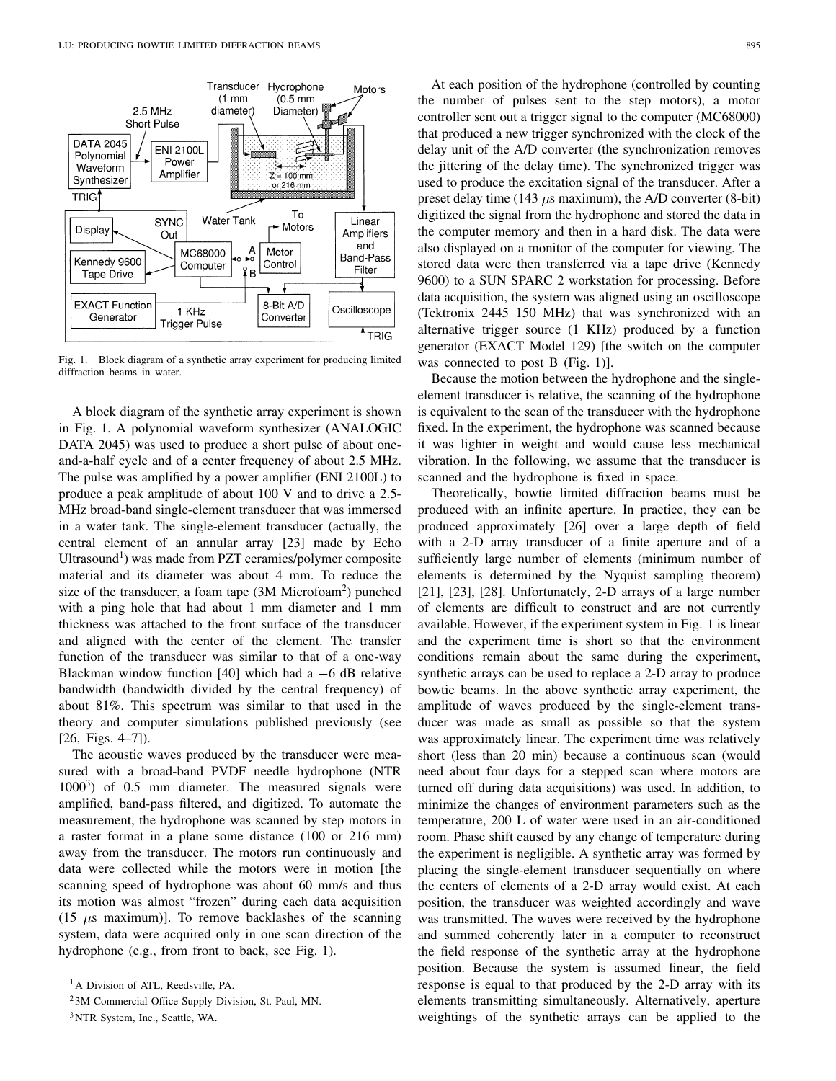

Fig. 1. Block diagram of a synthetic array experiment for producing limited diffraction beams in water.

A block diagram of the synthetic array experiment is shown in Fig. 1. A polynomial waveform synthesizer (ANALOGIC DATA 2045) was used to produce a short pulse of about oneand-a-half cycle and of a center frequency of about 2.5 MHz. The pulse was amplified by a power amplifier (ENI 2100L) to produce a peak amplitude of about 100 V and to drive a 2.5- MHz broad-band single-element transducer that was immersed in a water tank. The single-element transducer (actually, the central element of an annular array [23] made by Echo Ultrasound<sup>1</sup>) was made from PZT ceramics/polymer composite material and its diameter was about 4 mm. To reduce the size of the transducer, a foam tape (3M Microfoam<sup>2</sup> ) punched with a ping hole that had about 1 mm diameter and 1 mm thickness was attached to the front surface of the transducer and aligned with the center of the element. The transfer function of the transducer was similar to that of a one-way Blackman window function [40] which had a  $-6$  dB relative bandwidth (bandwidth divided by the central frequency) of about 81%. This spectrum was similar to that used in the theory and computer simulations published previously (see [26, Figs. 4–7]).

The acoustic waves produced by the transducer were measured with a broad-band PVDF needle hydrophone (NTR  $1000<sup>3</sup>$ ) of 0.5 mm diameter. The measured signals were amplified, band-pass filtered, and digitized. To automate the measurement, the hydrophone was scanned by step motors in a raster format in a plane some distance (100 or 216 mm) away from the transducer. The motors run continuously and data were collected while the motors were in motion [the scanning speed of hydrophone was about 60 mm/s and thus its motion was almost "frozen" during each data acquisition (15  $\mu$ s maximum)]. To remove backlashes of the scanning system, data were acquired only in one scan direction of the hydrophone (e.g., from front to back, see Fig. 1).

At each position of the hydrophone (controlled by counting the number of pulses sent to the step motors), a motor controller sent out a trigger signal to the computer (MC68000) that produced a new trigger synchronized with the clock of the delay unit of the A/D converter (the synchronization removes the jittering of the delay time). The synchronized trigger was used to produce the excitation signal of the transducer. After a preset delay time (143  $\mu$ s maximum), the A/D converter (8-bit) digitized the signal from the hydrophone and stored the data in the computer memory and then in a hard disk. The data were also displayed on a monitor of the computer for viewing. The stored data were then transferred via a tape drive (Kennedy 9600) to a SUN SPARC 2 workstation for processing. Before data acquisition, the system was aligned using an oscilloscope (Tektronix 2445 150 MHz) that was synchronized with an alternative trigger source (1 KHz) produced by a function generator (EXACT Model 129) [the switch on the computer was connected to post B (Fig. 1).

Because the motion between the hydrophone and the singleelement transducer is relative, the scanning of the hydrophone is equivalent to the scan of the transducer with the hydrophone fixed. In the experiment, the hydrophone was scanned because it was lighter in weight and would cause less mechanical vibration. In the following, we assume that the transducer is scanned and the hydrophone is fixed in space.

Theoretically, bowtie limited diffraction beams must be produced with an infinite aperture. In practice, they can be produced approximately [26] over a large depth of field with a 2-D array transducer of a finite aperture and of a sufficiently large number of elements (minimum number of elements is determined by the Nyquist sampling theorem) [21], [23], [28]. Unfortunately, 2-D arrays of a large number of elements are difficult to construct and are not currently available. However, if the experiment system in Fig. 1 is linear and the experiment time is short so that the environment conditions remain about the same during the experiment, synthetic arrays can be used to replace a 2-D array to produce bowtie beams. In the above synthetic array experiment, the amplitude of waves produced by the single-element transducer was made as small as possible so that the system was approximately linear. The experiment time was relatively short (less than 20 min) because a continuous scan (would need about four days for a stepped scan where motors are turned off during data acquisitions) was used. In addition, to minimize the changes of environment parameters such as the temperature, 200 L of water were used in an air-conditioned room. Phase shift caused by any change of temperature during the experiment is negligible. A synthetic array was formed by placing the single-element transducer sequentially on where the centers of elements of a 2-D array would exist. At each position, the transducer was weighted accordingly and wave was transmitted. The waves were received by the hydrophone and summed coherently later in a computer to reconstruct the field response of the synthetic array at the hydrophone position. Because the system is assumed linear, the field response is equal to that produced by the 2-D array with its elements transmitting simultaneously. Alternatively, aperture weightings of the synthetic arrays can be applied to the

<sup>&</sup>lt;sup>1</sup>A Division of ATL, Reedsville, PA.

<sup>2</sup> 3M Commercial Office Supply Division, St. Paul, MN.

<sup>3</sup>NTR System, Inc., Seattle, WA.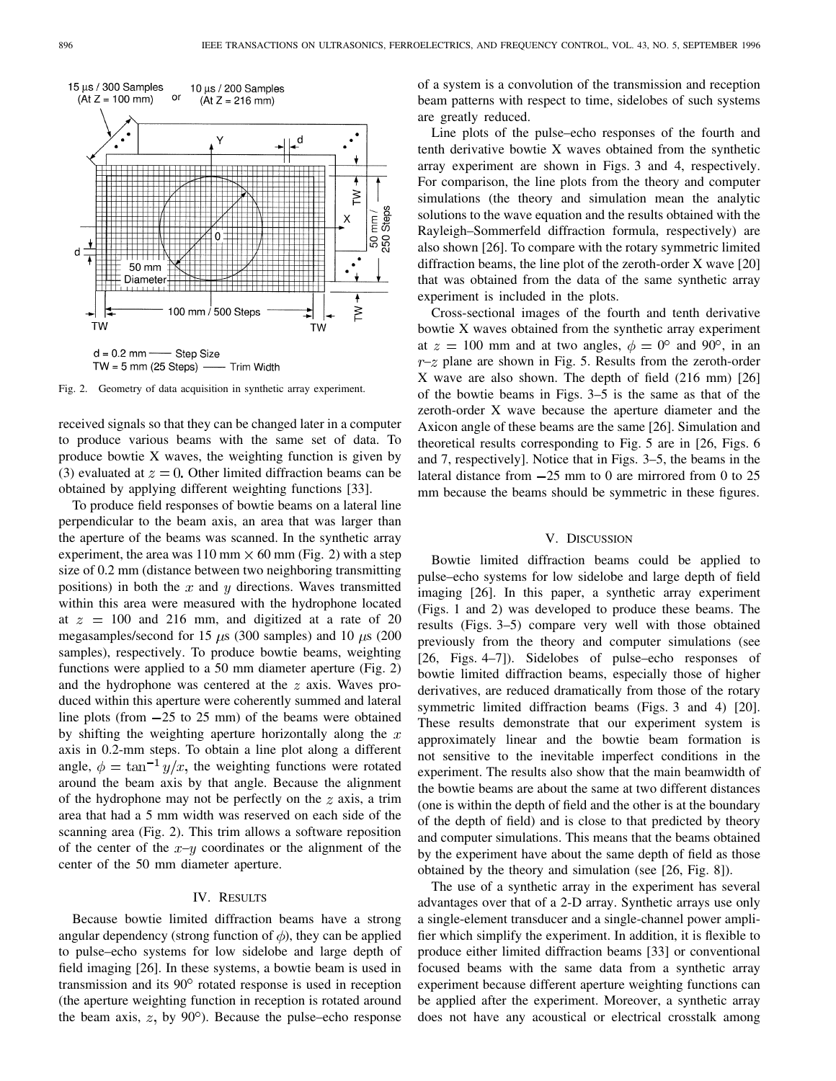

Fig. 2. Geometry of data acquisition in synthetic array experiment.

received signals so that they can be changed later in a computer to produce various beams with the same set of data. To produce bowtie X waves, the weighting function is given by (3) evaluated at  $z = 0$ . Other limited diffraction beams can be obtained by applying different weighting functions [33].

To produce field responses of bowtie beams on a lateral line perpendicular to the beam axis, an area that was larger than the aperture of the beams was scanned. In the synthetic array experiment, the area was  $110 \text{ mm} \times 60 \text{ mm}$  (Fig. 2) with a step size of 0.2 mm (distance between two neighboring transmitting positions) in both the  $x$  and  $y$  directions. Waves transmitted within this area were measured with the hydrophone located at  $z = 100$  and 216 mm, and digitized at a rate of 20 megasamples/second for 15  $\mu$ s (300 samples) and 10  $\mu$ s (200 samples), respectively. To produce bowtie beams, weighting functions were applied to a 50 mm diameter aperture (Fig. 2) and the hydrophone was centered at the  $z$  axis. Waves produced within this aperture were coherently summed and lateral line plots (from  $-25$  to 25 mm) of the beams were obtained by shifting the weighting aperture horizontally along the  $x$ axis in 0.2-mm steps. To obtain a line plot along a different angle,  $\phi = \tan^{-1} y/x$ , the weighting functions were rotated around the beam axis by that angle. Because the alignment of the hydrophone may not be perfectly on the  $z$  axis, a trim area that had a 5 mm width was reserved on each side of the scanning area (Fig. 2). This trim allows a software reposition of the center of the  $x-y$  coordinates or the alignment of the center of the 50 mm diameter aperture.

# IV. RESULTS

Because bowtie limited diffraction beams have a strong angular dependency (strong function of  $\phi$ ), they can be applied to pulse–echo systems for low sidelobe and large depth of field imaging [26]. In these systems, a bowtie beam is used in transmission and its 90° rotated response is used in reception (the aperture weighting function in reception is rotated around the beam axis,  $z$ , by  $90^\circ$ ). Because the pulse–echo response

of a system is a convolution of the transmission and reception beam patterns with respect to time, sidelobes of such systems are greatly reduced.

Line plots of the pulse–echo responses of the fourth and tenth derivative bowtie X waves obtained from the synthetic array experiment are shown in Figs. 3 and 4, respectively. For comparison, the line plots from the theory and computer simulations (the theory and simulation mean the analytic solutions to the wave equation and the results obtained with the Rayleigh–Sommerfeld diffraction formula, respectively) are also shown [26]. To compare with the rotary symmetric limited diffraction beams, the line plot of the zeroth-order X wave [20] that was obtained from the data of the same synthetic array experiment is included in the plots.

Cross-sectional images of the fourth and tenth derivative bowtie X waves obtained from the synthetic array experiment at  $z = 100$  mm and at two angles,  $\phi = 0^{\circ}$  and 90°, in an  $r-z$  plane are shown in Fig. 5. Results from the zeroth-order X wave are also shown. The depth of field (216 mm) [26] of the bowtie beams in Figs. 3–5 is the same as that of the zeroth-order X wave because the aperture diameter and the Axicon angle of these beams are the same [26]. Simulation and theoretical results corresponding to Fig. 5 are in [26, Figs. 6 and 7, respectively]. Notice that in Figs. 3–5, the beams in the lateral distance from  $-25$  mm to 0 are mirrored from 0 to 25 mm because the beams should be symmetric in these figures.

# V. DISCUSSION

Bowtie limited diffraction beams could be applied to pulse–echo systems for low sidelobe and large depth of field imaging [26]. In this paper, a synthetic array experiment (Figs. 1 and 2) was developed to produce these beams. The results (Figs. 3–5) compare very well with those obtained previously from the theory and computer simulations (see [26, Figs. 4–7]). Sidelobes of pulse–echo responses of bowtie limited diffraction beams, especially those of higher derivatives, are reduced dramatically from those of the rotary symmetric limited diffraction beams (Figs. 3 and 4) [20]. These results demonstrate that our experiment system is approximately linear and the bowtie beam formation is not sensitive to the inevitable imperfect conditions in the experiment. The results also show that the main beamwidth of the bowtie beams are about the same at two different distances (one is within the depth of field and the other is at the boundary of the depth of field) and is close to that predicted by theory and computer simulations. This means that the beams obtained by the experiment have about the same depth of field as those obtained by the theory and simulation (see [26, Fig. 8]).

The use of a synthetic array in the experiment has several advantages over that of a 2-D array. Synthetic arrays use only a single-element transducer and a single-channel power amplifier which simplify the experiment. In addition, it is flexible to produce either limited diffraction beams [33] or conventional focused beams with the same data from a synthetic array experiment because different aperture weighting functions can be applied after the experiment. Moreover, a synthetic array does not have any acoustical or electrical crosstalk among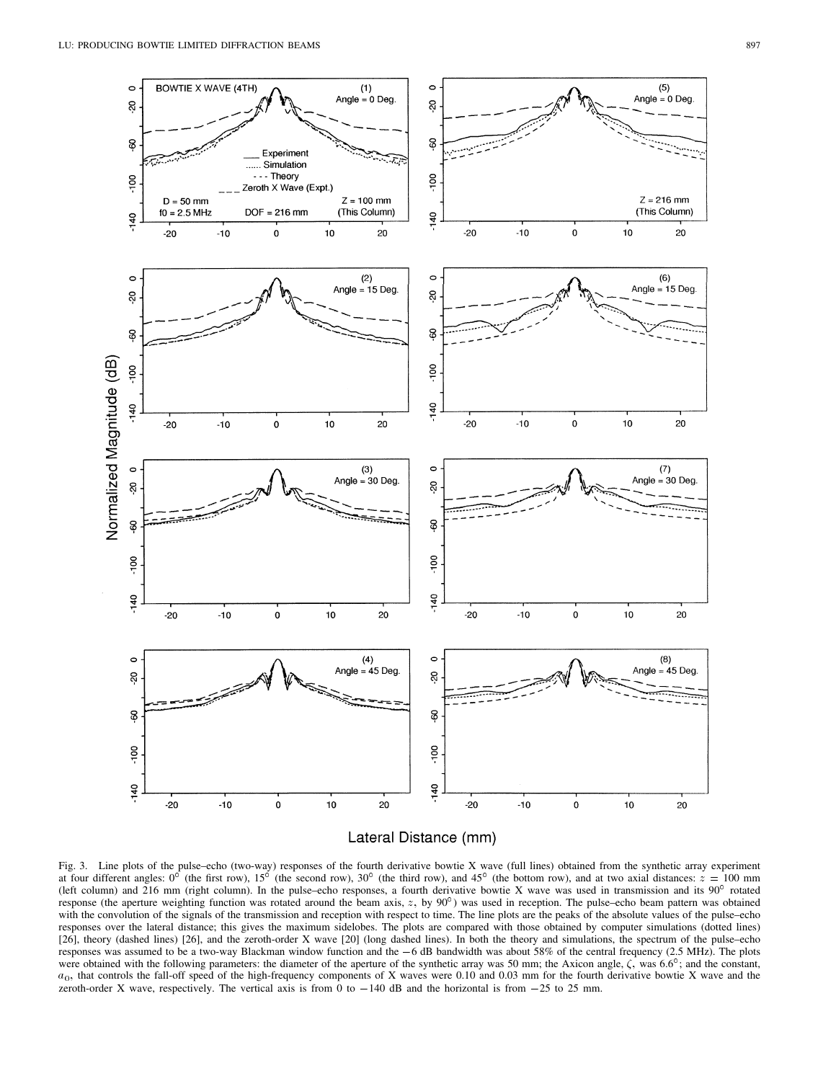

Lateral Distance (mm)

Fig. 3. Line plots of the pulse–echo (two-way) responses of the fourth derivative bowtie X wave (full lines) obtained from the synthetic array experiment at four different angles:  $0^{\circ}$  (the first row),  $15^{\circ}$  (the second row),  $30^{\circ}$  (the third row), and  $45^{\circ}$  (the bottom row), and at two axial distances:  $z = 100$  mm (left column) and 216 mm (right column). In the pulse–echo responses, a fourth derivative bowtie X wave was used in transmission and its  $90^{\circ}$  rotated response (the aperture weighting function was rotated around the beam axis,  $z$ , by  $90^{\circ}$ ) was used in reception. The pulse–echo beam pattern was obtained with the convolution of the signals of the transmission and reception with respect to time. The line plots are the peaks of the absolute values of the pulse–echo responses over the lateral distance; this gives the maximum sidelobes. The plots are compared with those obtained by computer simulations (dotted lines) [26], theory (dashed lines) [26], and the zeroth-order X wave [20] (long dashed lines). In both the theory and simulations, the spectrum of the pulse–echo with the convolution of the signals of the transmission and reception with respect to time. The line plots are the peaks of the absolute values of the pulse-echo responses over the lateral distance; this gives the maximum responses was assumed to be a two-way Blackman window function and the  $-6$  dB bandwidth was about 58% of the central frequency (2.5 MHz). The plots were obtained with the following parameters: the diameter of the apertur  $a_0$ , that controls the fall-off speed of the high-frequency components of X waves were 0.10 and 0.03 mm for the fourth derivative bowtie X wave and the zeroth-order X wave, respectively. The vertical axis is from 0 to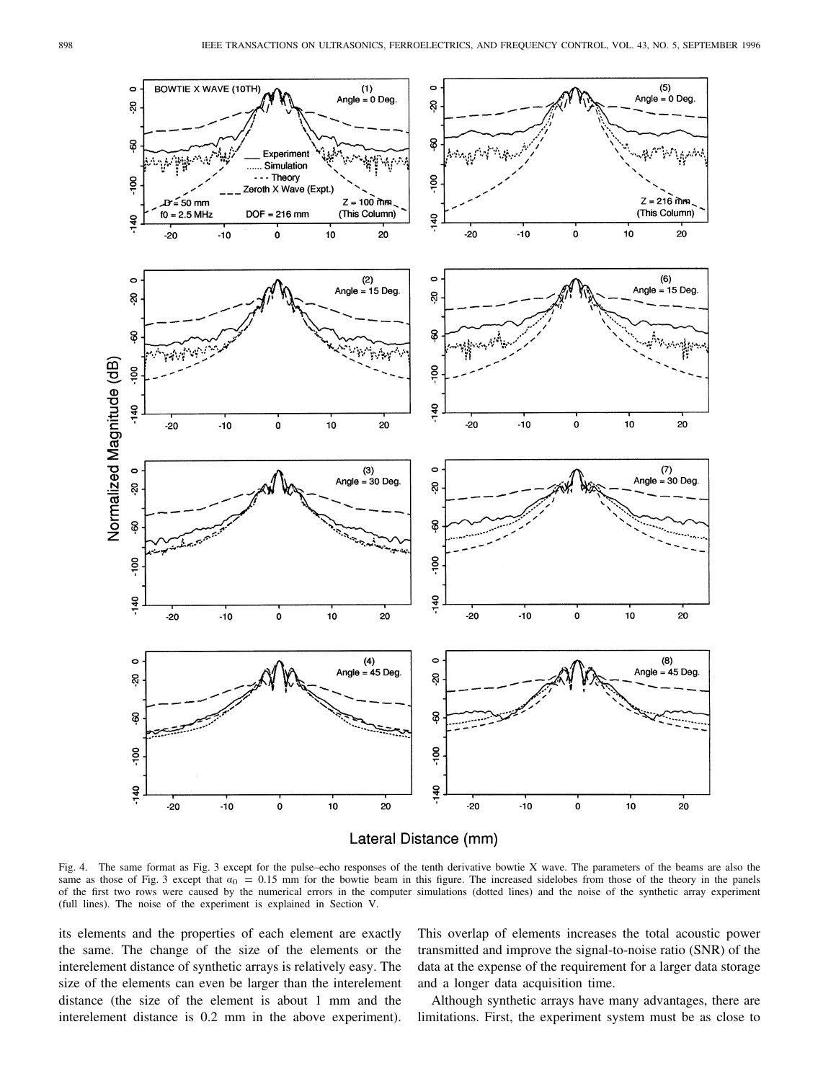

Lateral Distance (mm)

Fig. 4. The same format as Fig. 3 except for the pulse–echo responses of the tenth derivative bowtie X wave. The parameters of the beams are also the same as those of Fig. 3 except that  $a_0 = 0.15$  mm for the bowtie beam in this figure. The increased sidelobes from those of the theory in the panels of the first two rows were caused by the numerical errors in the computer simulations (dotted lines) and the noise of the synthetic array experiment (full lines). The noise of the experiment is explained in Section V.

its elements and the properties of each element are exactly the same. The change of the size of the elements or the interelement distance of synthetic arrays is relatively easy. The size of the elements can even be larger than the interelement distance (the size of the element is about 1 mm and the interelement distance is 0.2 mm in the above experiment).

This overlap of elements increases the total acoustic power transmitted and improve the signal-to-noise ratio (SNR) of the data at the expense of the requirement for a larger data storage and a longer data acquisition time.

Although synthetic arrays have many advantages, there are limitations. First, the experiment system must be as close to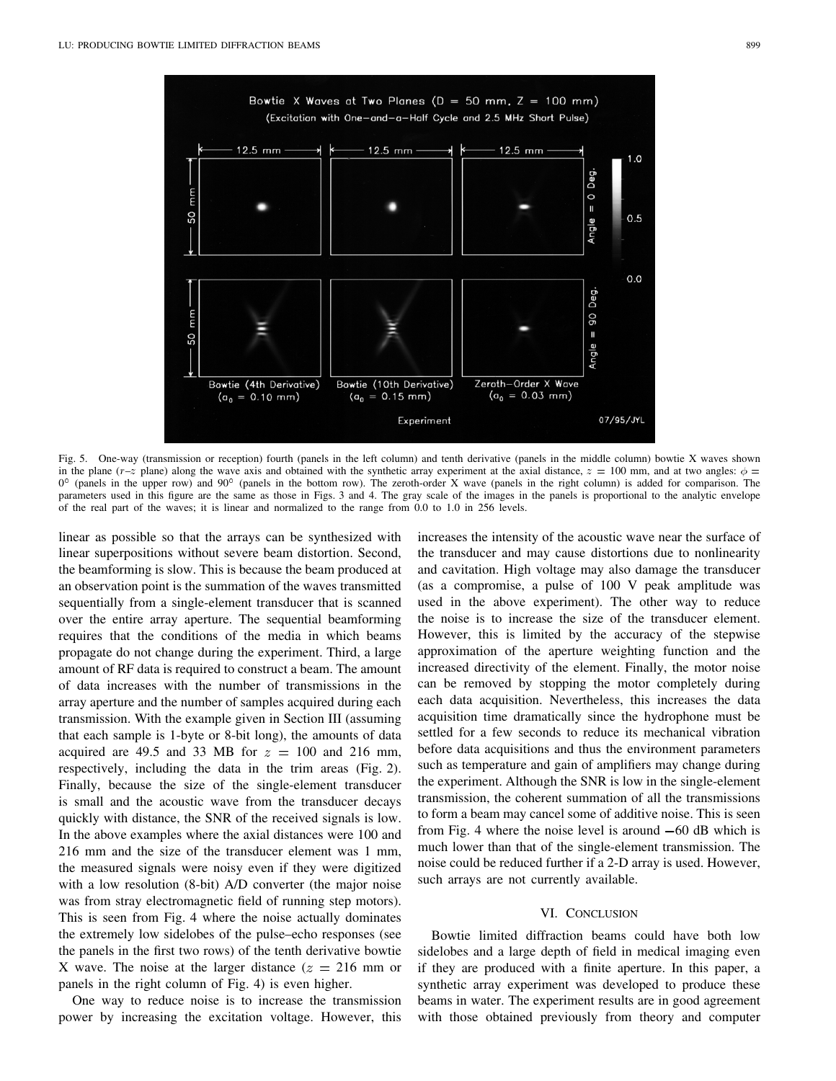

Fig. 5. One-way (transmission or reception) fourth (panels in the left column) and tenth derivative (panels in the middle column) bowtie X waves shown in the plane (r–z plane) along the wave axis and obtained with the synthetic array experiment at the axial distance,  $z = 100$  mm, and at two angles:  $\phi =$  $0^{\circ}$  (panels in the upper row) and  $90^{\circ}$  (panels in the bottom row). The zeroth-order X wave (panels in the right column) is added for comparison. The parameters used in this figure are the same as those in Figs. 3 and 4. The gray scale of the images in the panels is proportional to the analytic envelope of the real part of the waves; it is linear and normalized to the range from 0.0 to 1.0 in 256 levels.

linear as possible so that the arrays can be synthesized with linear superpositions without severe beam distortion. Second, the beamforming is slow. This is because the beam produced at an observation point is the summation of the waves transmitted sequentially from a single-element transducer that is scanned over the entire array aperture. The sequential beamforming requires that the conditions of the media in which beams propagate do not change during the experiment. Third, a large amount of RF data is required to construct a beam. The amount of data increases with the number of transmissions in the array aperture and the number of samples acquired during each transmission. With the example given in Section III (assuming that each sample is 1-byte or 8-bit long), the amounts of data acquired are 49.5 and 33 MB for  $z = 100$  and 216 mm, respectively, including the data in the trim areas (Fig. 2). Finally, because the size of the single-element transducer is small and the acoustic wave from the transducer decays quickly with distance, the SNR of the received signals is low. In the above examples where the axial distances were 100 and 216 mm and the size of the transducer element was 1 mm, the measured signals were noisy even if they were digitized with a low resolution (8-bit) A/D converter (the major noise was from stray electromagnetic field of running step motors). This is seen from Fig. 4 where the noise actually dominates the extremely low sidelobes of the pulse–echo responses (see the panels in the first two rows) of the tenth derivative bowtie X wave. The noise at the larger distance  $(z = 216 \text{ mm or})$ panels in the right column of Fig. 4) is even higher.

One way to reduce noise is to increase the transmission power by increasing the excitation voltage. However, this increases the intensity of the acoustic wave near the surface of the transducer and may cause distortions due to nonlinearity and cavitation. High voltage may also damage the transducer (as a compromise, a pulse of 100 V peak amplitude was used in the above experiment). The other way to reduce the noise is to increase the size of the transducer element. However, this is limited by the accuracy of the stepwise approximation of the aperture weighting function and the increased directivity of the element. Finally, the motor noise can be removed by stopping the motor completely during each data acquisition. Nevertheless, this increases the data acquisition time dramatically since the hydrophone must be settled for a few seconds to reduce its mechanical vibration before data acquisitions and thus the environment parameters such as temperature and gain of amplifiers may change during the experiment. Although the SNR is low in the single-element transmission, the coherent summation of all the transmissions to form a beam may cancel some of additive noise. This is seen from Fig. 4 where the noise level is around  $-60$  dB which is much lower than that of the single-element transmission. The noise could be reduced further if a 2-D array is used. However, such arrays are not currently available.

# VI. CONCLUSION

Bowtie limited diffraction beams could have both low sidelobes and a large depth of field in medical imaging even if they are produced with a finite aperture. In this paper, a synthetic array experiment was developed to produce these beams in water. The experiment results are in good agreement with those obtained previously from theory and computer